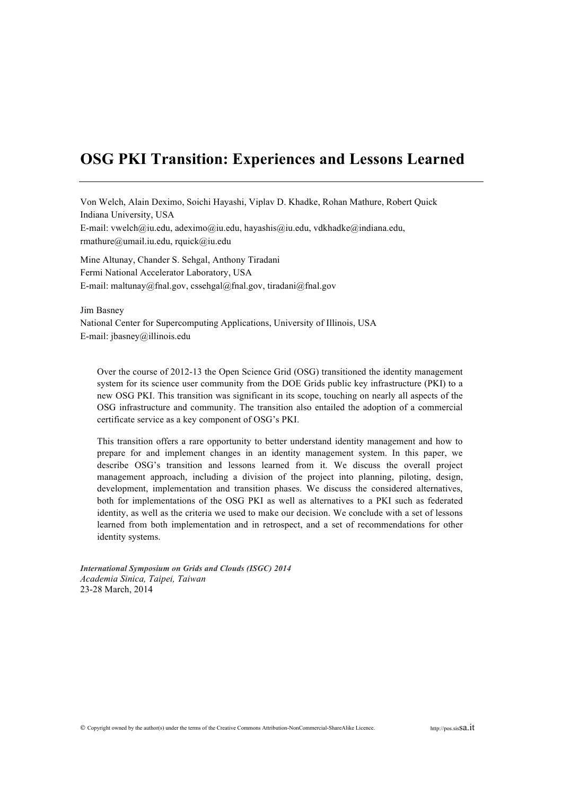# **OSG PKI Transition: Experiences and Lessons Learned**

Von Welch, Alain Deximo, Soichi Hayashi, Viplav D. Khadke, Rohan Mathure, Robert Quick Indiana University, USA E-mail: vwelch@iu.edu, adeximo@iu.edu, hayashis@iu.edu, vdkhadke@indiana.edu, rmathure@umail.iu.edu, rquick@iu.edu

Mine Altunay, Chander S. Sehgal, Anthony Tiradani Fermi National Accelerator Laboratory, USA E-mail: maltunay@fnal.gov, cssehgal@fnal.gov, tiradani@fnal.gov

Jim Basney National Center for Supercomputing Applications, University of Illinois, USA E-mail: jbasney@illinois.edu

Over the course of 2012-13 the Open Science Grid (OSG) transitioned the identity management system for its science user community from the DOE Grids public key infrastructure (PKI) to a new OSG PKI. This transition was significant in its scope, touching on nearly all aspects of the OSG infrastructure and community. The transition also entailed the adoption of a commercial certificate service as a key component of OSG's PKI.

This transition offers a rare opportunity to better understand identity management and how to prepare for and implement changes in an identity management system. In this paper, we describe OSG's transition and lessons learned from it. We discuss the overall project management approach, including a division of the project into planning, piloting, design, development, implementation and transition phases. We discuss the considered alternatives, both for implementations of the OSG PKI as well as alternatives to a PKI such as federated identity, as well as the criteria we used to make our decision. We conclude with a set of lessons learned from both implementation and in retrospect, and a set of recommendations for other identity systems.

*International Symposium on Grids and Clouds (ISGC) 2014 Academia Sinica, Taipei, Taiwan* 23-28 March, 2014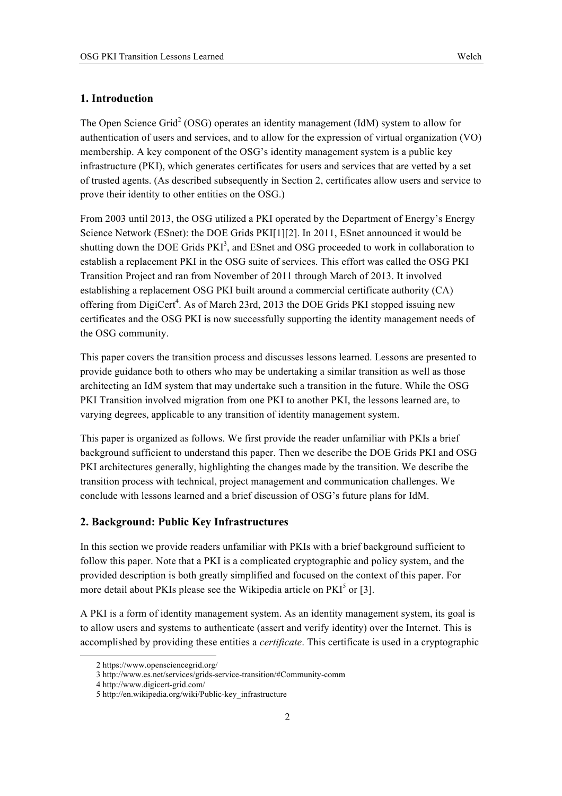## **1. Introduction**

The Open Science Grid<sup>2</sup> (OSG) operates an identity management (IdM) system to allow for authentication of users and services, and to allow for the expression of virtual organization (VO) membership. A key component of the OSG's identity management system is a public key infrastructure (PKI), which generates certificates for users and services that are vetted by a set of trusted agents. (As described subsequently in Section 2, certificates allow users and service to prove their identity to other entities on the OSG.)

From 2003 until 2013, the OSG utilized a PKI operated by the Department of Energy's Energy Science Network (ESnet): the DOE Grids PKI[1][2]. In 2011, ESnet announced it would be shutting down the DOE Grids PKI<sup>3</sup>, and ESnet and OSG proceeded to work in collaboration to establish a replacement PKI in the OSG suite of services. This effort was called the OSG PKI Transition Project and ran from November of 2011 through March of 2013. It involved establishing a replacement OSG PKI built around a commercial certificate authority (CA) offering from DigiCert<sup>4</sup>. As of March 23rd, 2013 the DOE Grids PKI stopped issuing new certificates and the OSG PKI is now successfully supporting the identity management needs of the OSG community.

This paper covers the transition process and discusses lessons learned. Lessons are presented to provide guidance both to others who may be undertaking a similar transition as well as those architecting an IdM system that may undertake such a transition in the future. While the OSG PKI Transition involved migration from one PKI to another PKI, the lessons learned are, to varying degrees, applicable to any transition of identity management system.

This paper is organized as follows. We first provide the reader unfamiliar with PKIs a brief background sufficient to understand this paper. Then we describe the DOE Grids PKI and OSG PKI architectures generally, highlighting the changes made by the transition. We describe the transition process with technical, project management and communication challenges. We conclude with lessons learned and a brief discussion of OSG's future plans for IdM.

## **2. Background: Public Key Infrastructures**

In this section we provide readers unfamiliar with PKIs with a brief background sufficient to follow this paper. Note that a PKI is a complicated cryptographic and policy system, and the provided description is both greatly simplified and focused on the context of this paper. For more detail about PKIs please see the Wikipedia article on  $PKI<sup>5</sup>$  or [3].

A PKI is a form of identity management system. As an identity management system, its goal is to allow users and systems to authenticate (assert and verify identity) over the Internet. This is accomplished by providing these entities a *certificate*. This certificate is used in a cryptographic

l

<sup>2</sup> https://www.opensciencegrid.org/

<sup>3</sup> http://www.es.net/services/grids-service-transition/#Community-comm

<sup>4</sup> http://www.digicert-grid.com/

<sup>5</sup> http://en.wikipedia.org/wiki/Public-key\_infrastructure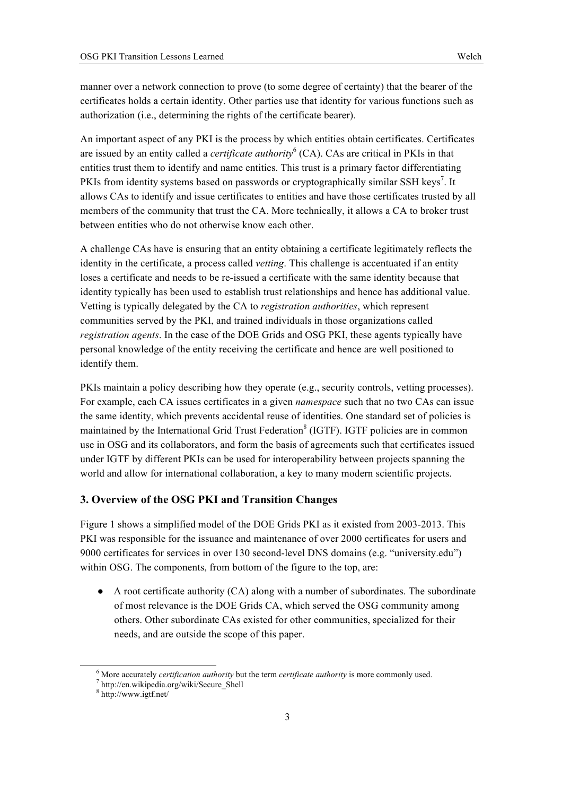manner over a network connection to prove (to some degree of certainty) that the bearer of the certificates holds a certain identity. Other parties use that identity for various functions such as authorization (i.e., determining the rights of the certificate bearer).

An important aspect of any PKI is the process by which entities obtain certificates. Certificates are issued by an entity called a *certificate authority*<sup>6</sup> (CA). CAs are critical in PKIs in that entities trust them to identify and name entities. This trust is a primary factor differentiating PKIs from identity systems based on passwords or cryptographically similar SSH keys<sup>7</sup>. It allows CAs to identify and issue certificates to entities and have those certificates trusted by all members of the community that trust the CA. More technically, it allows a CA to broker trust between entities who do not otherwise know each other.

A challenge CAs have is ensuring that an entity obtaining a certificate legitimately reflects the identity in the certificate, a process called *vetting*. This challenge is accentuated if an entity loses a certificate and needs to be re-issued a certificate with the same identity because that identity typically has been used to establish trust relationships and hence has additional value. Vetting is typically delegated by the CA to *registration authorities*, which represent communities served by the PKI, and trained individuals in those organizations called *registration agents*. In the case of the DOE Grids and OSG PKI, these agents typically have personal knowledge of the entity receiving the certificate and hence are well positioned to identify them.

PKIs maintain a policy describing how they operate (e.g., security controls, vetting processes). For example, each CA issues certificates in a given *namespace* such that no two CAs can issue the same identity, which prevents accidental reuse of identities. One standard set of policies is maintained by the International Grid Trust Federation<sup>8</sup> (IGTF). IGTF policies are in common use in OSG and its collaborators, and form the basis of agreements such that certificates issued under IGTF by different PKIs can be used for interoperability between projects spanning the world and allow for international collaboration, a key to many modern scientific projects.

# **3. Overview of the OSG PKI and Transition Changes**

Figure 1 shows a simplified model of the DOE Grids PKI as it existed from 2003-2013. This PKI was responsible for the issuance and maintenance of over 2000 certificates for users and 9000 certificates for services in over 130 second-level DNS domains (e.g. "university.edu") within OSG. The components, from bottom of the figure to the top, are:

 $\bullet$  A root certificate authority (CA) along with a number of subordinates. The subordinate of most relevance is the DOE Grids CA, which served the OSG community among others. Other subordinate CAs existed for other communities, specialized for their needs, and are outside the scope of this paper.

<sup>&</sup>lt;sup>6</sup> More accurately *certification authority* but the term *certificate authority* is more commonly used.

http://en.wikipedia.org/wiki/Secure\_Shell<br>8 http://www.igtf.net/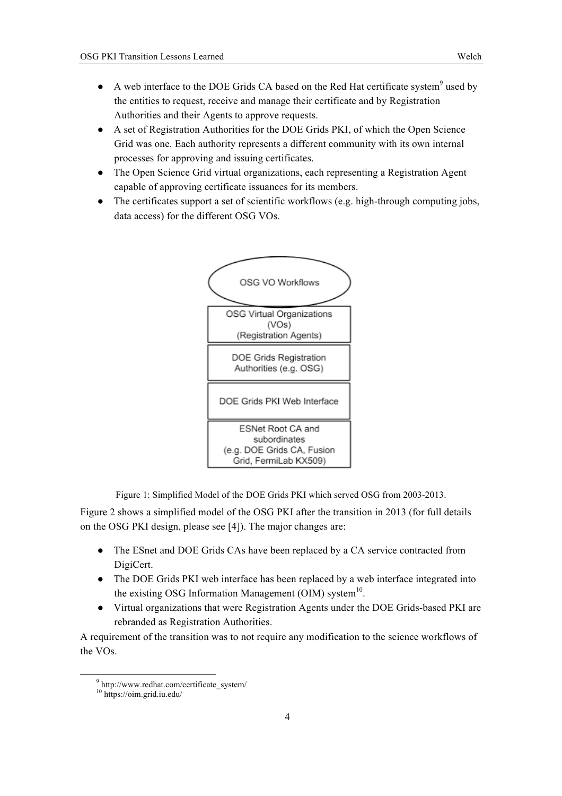- $\bullet$  A web interface to the DOE Grids CA based on the Red Hat certificate system<sup>9</sup> used by the entities to request, receive and manage their certificate and by Registration Authorities and their Agents to approve requests.
- A set of Registration Authorities for the DOE Grids PKI, of which the Open Science Grid was one. Each authority represents a different community with its own internal processes for approving and issuing certificates.
- The Open Science Grid virtual organizations, each representing a Registration Agent capable of approving certificate issuances for its members.
- The certificates support a set of scientific workflows (e.g. high-through computing jobs, data access) for the different OSG VOs.



Figure 1: Simplified Model of the DOE Grids PKI which served OSG from 2003-2013.

Figure 2 shows a simplified model of the OSG PKI after the transition in 2013 (for full details on the OSG PKI design, please see [4]). The major changes are:

- The ESnet and DOE Grids CAs have been replaced by a CA service contracted from DigiCert.
- The DOE Grids PKI web interface has been replaced by a web interface integrated into the existing OSG Information Management (OIM) system $10$ .
- Virtual organizations that were Registration Agents under the DOE Grids-based PKI are rebranded as Registration Authorities.

A requirement of the transition was to not require any modification to the science workflows of the VOs.

 $9$  http://www.redhat.com/certificate\_system/

<sup>10</sup> https://oim.grid.iu.edu/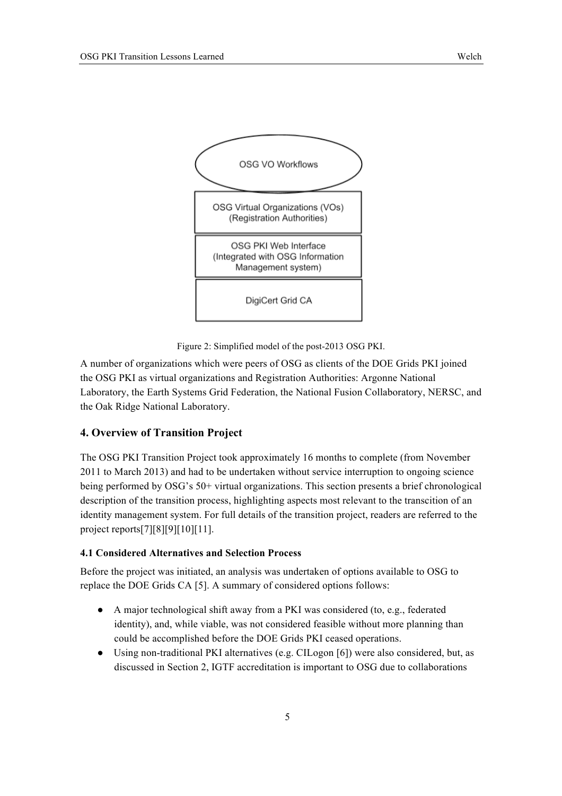

Figure 2: Simplified model of the post-2013 OSG PKI.

A number of organizations which were peers of OSG as clients of the DOE Grids PKI joined the OSG PKI as virtual organizations and Registration Authorities: Argonne National Laboratory, the Earth Systems Grid Federation, the National Fusion Collaboratory, NERSC, and the Oak Ridge National Laboratory.

## **4. Overview of Transition Project**

The OSG PKI Transition Project took approximately 16 months to complete (from November 2011 to March 2013) and had to be undertaken without service interruption to ongoing science being performed by OSG's 50+ virtual organizations. This section presents a brief chronological description of the transition process, highlighting aspects most relevant to the transcition of an identity management system. For full details of the transition project, readers are referred to the project reports[7][8][9][10][11].

# **4.1 Considered Alternatives and Selection Process**

Before the project was initiated, an analysis was undertaken of options available to OSG to replace the DOE Grids CA [5]. A summary of considered options follows:

- A major technological shift away from a PKI was considered (to, e.g., federated identity), and, while viable, was not considered feasible without more planning than could be accomplished before the DOE Grids PKI ceased operations.
- Using non-traditional PKI alternatives (e.g. CILogon [6]) were also considered, but, as discussed in Section 2, IGTF accreditation is important to OSG due to collaborations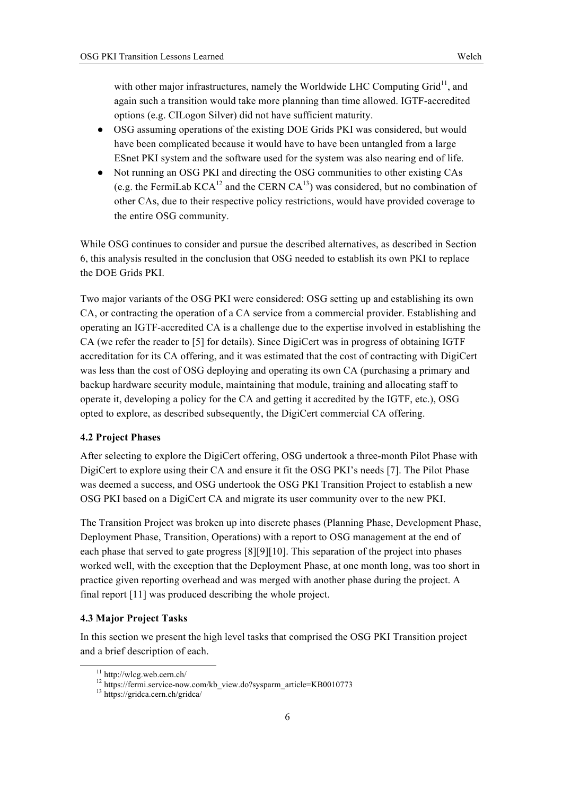with other major infrastructures, namely the Worldwide LHC Computing  $Grid<sup>11</sup>$ , and again such a transition would take more planning than time allowed. IGTF-accredited options (e.g. CILogon Silver) did not have sufficient maturity.

- OSG assuming operations of the existing DOE Grids PKI was considered, but would have been complicated because it would have to have been untangled from a large ESnet PKI system and the software used for the system was also nearing end of life.
- Not running an OSG PKI and directing the OSG communities to other existing CAs (e.g. the FermiLab  $KCA^{12}$  and the CERN  $CA^{13}$ ) was considered, but no combination of other CAs, due to their respective policy restrictions, would have provided coverage to the entire OSG community.

While OSG continues to consider and pursue the described alternatives, as described in Section 6, this analysis resulted in the conclusion that OSG needed to establish its own PKI to replace the DOE Grids PKI.

Two major variants of the OSG PKI were considered: OSG setting up and establishing its own CA, or contracting the operation of a CA service from a commercial provider. Establishing and operating an IGTF-accredited CA is a challenge due to the expertise involved in establishing the CA (we refer the reader to [5] for details). Since DigiCert was in progress of obtaining IGTF accreditation for its CA offering, and it was estimated that the cost of contracting with DigiCert was less than the cost of OSG deploying and operating its own CA (purchasing a primary and backup hardware security module, maintaining that module, training and allocating staff to operate it, developing a policy for the CA and getting it accredited by the IGTF, etc.), OSG opted to explore, as described subsequently, the DigiCert commercial CA offering.

#### **4.2 Project Phases**

After selecting to explore the DigiCert offering, OSG undertook a three-month Pilot Phase with DigiCert to explore using their CA and ensure it fit the OSG PKI's needs [7]. The Pilot Phase was deemed a success, and OSG undertook the OSG PKI Transition Project to establish a new OSG PKI based on a DigiCert CA and migrate its user community over to the new PKI.

The Transition Project was broken up into discrete phases (Planning Phase, Development Phase, Deployment Phase, Transition, Operations) with a report to OSG management at the end of each phase that served to gate progress [8][9][10]. This separation of the project into phases worked well, with the exception that the Deployment Phase, at one month long, was too short in practice given reporting overhead and was merged with another phase during the project. A final report [11] was produced describing the whole project.

## **4.3 Major Project Tasks**

In this section we present the high level tasks that comprised the OSG PKI Transition project and a brief description of each.

<sup>&</sup>lt;sup>11</sup> http://wlcg.web.cern.ch/<br><sup>12</sup> https://fermi.service-now.com/kb\_view.do?sysparm\_article=KB0010773<br><sup>13</sup> https://gridca.cern.ch/gridca/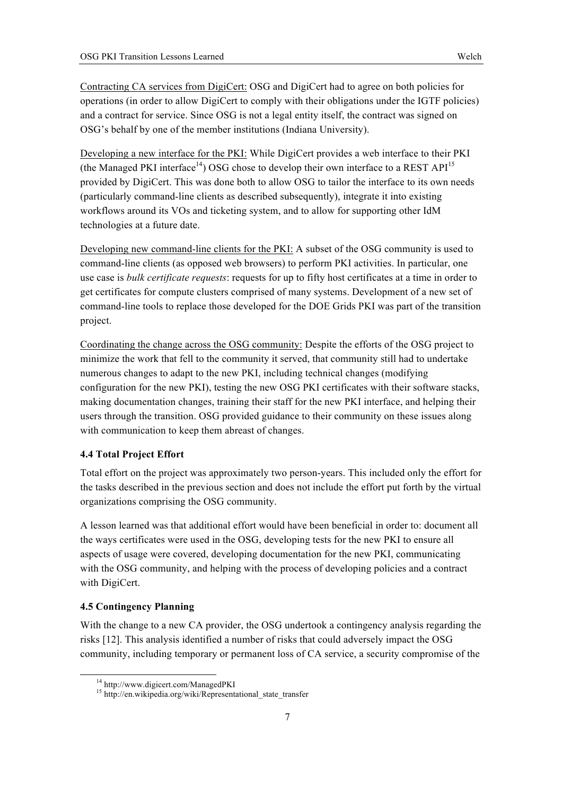Contracting CA services from DigiCert: OSG and DigiCert had to agree on both policies for operations (in order to allow DigiCert to comply with their obligations under the IGTF policies) and a contract for service. Since OSG is not a legal entity itself, the contract was signed on OSG's behalf by one of the member institutions (Indiana University).

Developing a new interface for the PKI: While DigiCert provides a web interface to their PKI (the Managed PKI interface<sup>14</sup>) OSG chose to develop their own interface to a REST API<sup>15</sup> provided by DigiCert. This was done both to allow OSG to tailor the interface to its own needs (particularly command-line clients as described subsequently), integrate it into existing workflows around its VOs and ticketing system, and to allow for supporting other IdM technologies at a future date.

Developing new command-line clients for the PKI: A subset of the OSG community is used to command-line clients (as opposed web browsers) to perform PKI activities. In particular, one use case is *bulk certificate requests*: requests for up to fifty host certificates at a time in order to get certificates for compute clusters comprised of many systems. Development of a new set of command-line tools to replace those developed for the DOE Grids PKI was part of the transition project.

Coordinating the change across the OSG community: Despite the efforts of the OSG project to minimize the work that fell to the community it served, that community still had to undertake numerous changes to adapt to the new PKI, including technical changes (modifying configuration for the new PKI), testing the new OSG PKI certificates with their software stacks, making documentation changes, training their staff for the new PKI interface, and helping their users through the transition. OSG provided guidance to their community on these issues along with communication to keep them abreast of changes.

## **4.4 Total Project Effort**

Total effort on the project was approximately two person-years. This included only the effort for the tasks described in the previous section and does not include the effort put forth by the virtual organizations comprising the OSG community.

A lesson learned was that additional effort would have been beneficial in order to: document all the ways certificates were used in the OSG, developing tests for the new PKI to ensure all aspects of usage were covered, developing documentation for the new PKI, communicating with the OSG community, and helping with the process of developing policies and a contract with DigiCert.

## **4.5 Contingency Planning**

With the change to a new CA provider, the OSG undertook a contingency analysis regarding the risks [12]. This analysis identified a number of risks that could adversely impact the OSG community, including temporary or permanent loss of CA service, a security compromise of the

<sup>&</sup>lt;sup>14</sup> http://www.digicert.com/ManagedPKI<br><sup>15</sup> http://en.wikipedia.org/wiki/Representational\_state\_transfer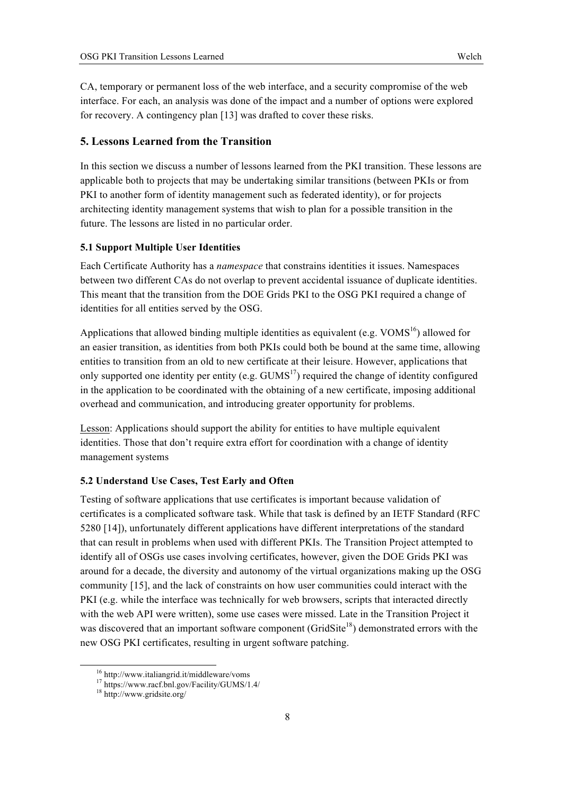CA, temporary or permanent loss of the web interface, and a security compromise of the web interface. For each, an analysis was done of the impact and a number of options were explored for recovery. A contingency plan [13] was drafted to cover these risks.

# **5. Lessons Learned from the Transition**

In this section we discuss a number of lessons learned from the PKI transition. These lessons are applicable both to projects that may be undertaking similar transitions (between PKIs or from PKI to another form of identity management such as federated identity), or for projects architecting identity management systems that wish to plan for a possible transition in the future. The lessons are listed in no particular order.

#### **5.1 Support Multiple User Identities**

Each Certificate Authority has a *namespace* that constrains identities it issues. Namespaces between two different CAs do not overlap to prevent accidental issuance of duplicate identities. This meant that the transition from the DOE Grids PKI to the OSG PKI required a change of identities for all entities served by the OSG.

Applications that allowed binding multiple identities as equivalent (e.g.  $VOMS<sup>16</sup>$ ) allowed for an easier transition, as identities from both PKIs could both be bound at the same time, allowing entities to transition from an old to new certificate at their leisure. However, applications that only supported one identity per entity (e.g.  $GUMS<sup>17</sup>$ ) required the change of identity configured in the application to be coordinated with the obtaining of a new certificate, imposing additional overhead and communication, and introducing greater opportunity for problems.

Lesson: Applications should support the ability for entities to have multiple equivalent identities. Those that don't require extra effort for coordination with a change of identity management systems

# **5.2 Understand Use Cases, Test Early and Often**

Testing of software applications that use certificates is important because validation of certificates is a complicated software task. While that task is defined by an IETF Standard (RFC 5280 [14]), unfortunately different applications have different interpretations of the standard that can result in problems when used with different PKIs. The Transition Project attempted to identify all of OSGs use cases involving certificates, however, given the DOE Grids PKI was around for a decade, the diversity and autonomy of the virtual organizations making up the OSG community [15], and the lack of constraints on how user communities could interact with the PKI (e.g. while the interface was technically for web browsers, scripts that interacted directly with the web API were written), some use cases were missed. Late in the Transition Project it was discovered that an important software component (GridSite<sup>18</sup>) demonstrated errors with the new OSG PKI certificates, resulting in urgent software patching.

<sup>&</sup>lt;sup>16</sup> http://www.italiangrid.it/middleware/voms <sup>17</sup> https://www.racf.bnl.gov/Facility/GUMS/1.4/ <sup>18</sup> http://www.gridsite.org/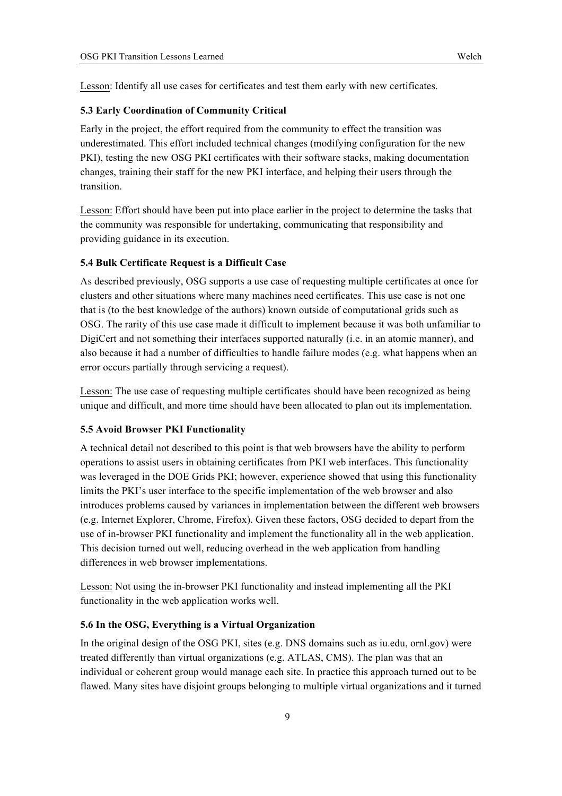Lesson: Identify all use cases for certificates and test them early with new certificates.

#### **5.3 Early Coordination of Community Critical**

Early in the project, the effort required from the community to effect the transition was underestimated. This effort included technical changes (modifying configuration for the new PKI), testing the new OSG PKI certificates with their software stacks, making documentation changes, training their staff for the new PKI interface, and helping their users through the transition.

Lesson: Effort should have been put into place earlier in the project to determine the tasks that the community was responsible for undertaking, communicating that responsibility and providing guidance in its execution.

#### **5.4 Bulk Certificate Request is a Difficult Case**

As described previously, OSG supports a use case of requesting multiple certificates at once for clusters and other situations where many machines need certificates. This use case is not one that is (to the best knowledge of the authors) known outside of computational grids such as OSG. The rarity of this use case made it difficult to implement because it was both unfamiliar to DigiCert and not something their interfaces supported naturally (i.e. in an atomic manner), and also because it had a number of difficulties to handle failure modes (e.g. what happens when an error occurs partially through servicing a request).

Lesson: The use case of requesting multiple certificates should have been recognized as being unique and difficult, and more time should have been allocated to plan out its implementation.

#### **5.5 Avoid Browser PKI Functionality**

A technical detail not described to this point is that web browsers have the ability to perform operations to assist users in obtaining certificates from PKI web interfaces. This functionality was leveraged in the DOE Grids PKI; however, experience showed that using this functionality limits the PKI's user interface to the specific implementation of the web browser and also introduces problems caused by variances in implementation between the different web browsers (e.g. Internet Explorer, Chrome, Firefox). Given these factors, OSG decided to depart from the use of in-browser PKI functionality and implement the functionality all in the web application. This decision turned out well, reducing overhead in the web application from handling differences in web browser implementations.

Lesson: Not using the in-browser PKI functionality and instead implementing all the PKI functionality in the web application works well.

## **5.6 In the OSG, Everything is a Virtual Organization**

In the original design of the OSG PKI, sites (e.g. DNS domains such as iu.edu, ornl.gov) were treated differently than virtual organizations (e.g. ATLAS, CMS). The plan was that an individual or coherent group would manage each site. In practice this approach turned out to be flawed. Many sites have disjoint groups belonging to multiple virtual organizations and it turned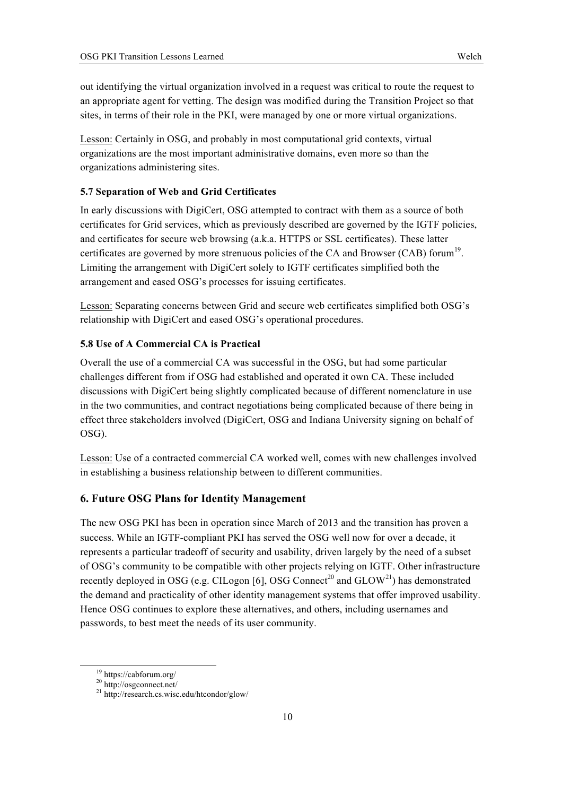out identifying the virtual organization involved in a request was critical to route the request to an appropriate agent for vetting. The design was modified during the Transition Project so that sites, in terms of their role in the PKI, were managed by one or more virtual organizations.

Lesson: Certainly in OSG, and probably in most computational grid contexts, virtual organizations are the most important administrative domains, even more so than the organizations administering sites.

# **5.7 Separation of Web and Grid Certificates**

In early discussions with DigiCert, OSG attempted to contract with them as a source of both certificates for Grid services, which as previously described are governed by the IGTF policies, and certificates for secure web browsing (a.k.a. HTTPS or SSL certificates). These latter certificates are governed by more strenuous policies of the CA and Browser (CAB) forum<sup>19</sup>. Limiting the arrangement with DigiCert solely to IGTF certificates simplified both the arrangement and eased OSG's processes for issuing certificates.

Lesson: Separating concerns between Grid and secure web certificates simplified both OSG's relationship with DigiCert and eased OSG's operational procedures.

## **5.8 Use of A Commercial CA is Practical**

Overall the use of a commercial CA was successful in the OSG, but had some particular challenges different from if OSG had established and operated it own CA. These included discussions with DigiCert being slightly complicated because of different nomenclature in use in the two communities, and contract negotiations being complicated because of there being in effect three stakeholders involved (DigiCert, OSG and Indiana University signing on behalf of OSG).

Lesson: Use of a contracted commercial CA worked well, comes with new challenges involved in establishing a business relationship between to different communities.

#### **6. Future OSG Plans for Identity Management**

The new OSG PKI has been in operation since March of 2013 and the transition has proven a success. While an IGTF-compliant PKI has served the OSG well now for over a decade, it represents a particular tradeoff of security and usability, driven largely by the need of a subset of OSG's community to be compatible with other projects relying on IGTF. Other infrastructure recently deployed in OSG (e.g. CILogon [6], OSG Connect<sup>20</sup> and  $GLOW<sup>21</sup>$ ) has demonstrated the demand and practicality of other identity management systems that offer improved usability. Hence OSG continues to explore these alternatives, and others, including usernames and passwords, to best meet the needs of its user community.

<sup>&</sup>lt;sup>19</sup> https://cabforum.org/<br><sup>20</sup> http://osgconnect.net/<br><sup>21</sup> http://research.cs.wisc.edu/htcondor/glow/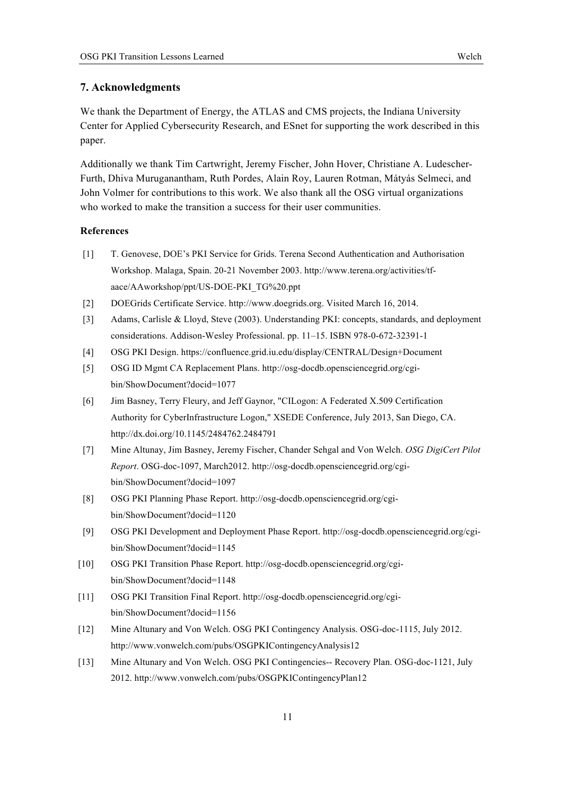## **7. Acknowledgments**

We thank the Department of Energy, the ATLAS and CMS projects, the Indiana University Center for Applied Cybersecurity Research, and ESnet for supporting the work described in this paper.

Additionally we thank Tim Cartwright, Jeremy Fischer, John Hover, Christiane A. Ludescher-Furth, Dhiva Muruganantham, Ruth Pordes, Alain Roy, Lauren Rotman, Mátyás Selmeci, and John Volmer for contributions to this work. We also thank all the OSG virtual organizations who worked to make the transition a success for their user communities.

#### **References**

- [1] T. Genovese, DOE's PKI Service for Grids. Terena Second Authentication and Authorisation Workshop. Malaga, Spain. 20-21 November 2003. http://www.terena.org/activities/tfaace/AAworkshop/ppt/US-DOE-PKI\_TG%20.ppt
- [2] DOEGrids Certificate Service. http://www.doegrids.org. Visited March 16, 2014.
- [3] Adams, Carlisle & Lloyd, Steve (2003). Understanding PKI: concepts, standards, and deployment considerations. Addison-Wesley Professional. pp. 11–15. ISBN 978-0-672-32391-1
- [4] OSG PKI Design. https://confluence.grid.iu.edu/display/CENTRAL/Design+Document
- [5] OSG ID Mgmt CA Replacement Plans. http://osg-docdb.opensciencegrid.org/cgibin/ShowDocument?docid=1077
- [6] Jim Basney, Terry Fleury, and Jeff Gaynor, "CILogon: A Federated X.509 Certification Authority for CyberInfrastructure Logon," XSEDE Conference, July 2013, San Diego, CA. http://dx.doi.org/10.1145/2484762.2484791
- [7] Mine Altunay, Jim Basney, Jeremy Fischer, Chander Sehgal and Von Welch. *OSG DigiCert Pilot Report*. OSG-doc-1097, March2012. http://osg-docdb.opensciencegrid.org/cgibin/ShowDocument?docid=1097
- [8] OSG PKI Planning Phase Report. http://osg-docdb.opensciencegrid.org/cgibin/ShowDocument?docid=1120
- [9] OSG PKI Development and Deployment Phase Report. http://osg-docdb.opensciencegrid.org/cgibin/ShowDocument?docid=1145
- [10] OSG PKI Transition Phase Report. http://osg-docdb.opensciencegrid.org/cgibin/ShowDocument?docid=1148
- [11] OSG PKI Transition Final Report. http://osg-docdb.opensciencegrid.org/cgibin/ShowDocument?docid=1156
- [12] Mine Altunary and Von Welch. OSG PKI Contingency Analysis. OSG-doc-1115, July 2012. http://www.vonwelch.com/pubs/OSGPKIContingencyAnalysis12
- [13] Mine Altunary and Von Welch. OSG PKI Contingencies-- Recovery Plan. OSG-doc-1121, July 2012. http://www.vonwelch.com/pubs/OSGPKIContingencyPlan12